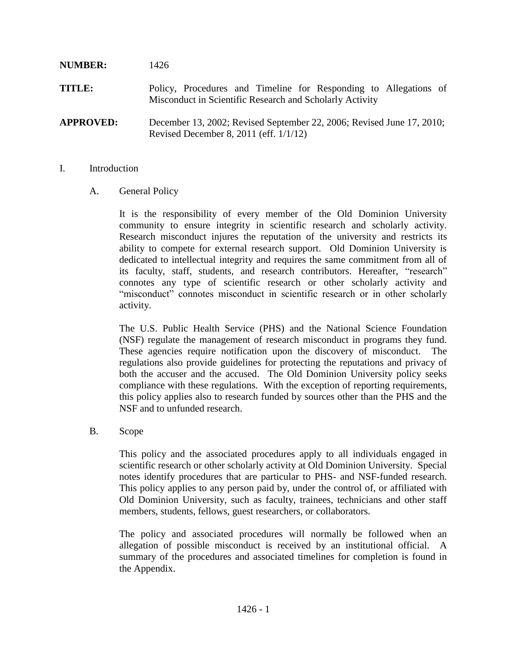# **NUMBER:** 1426 **TITLE:** Policy, Procedures and Timeline for Responding to Allegations of Misconduct in Scientific Research and Scholarly Activity **APPROVED:** December 13, 2002; Revised September 22, 2006; Revised June 17, 2010; Revised December 8, 2011 (eff. 1/1/12)

#### I. Introduction

## A. General Policy

It is the responsibility of every member of the Old Dominion University community to ensure integrity in scientific research and scholarly activity. Research misconduct injures the reputation of the university and restricts its ability to compete for external research support. Old Dominion University is dedicated to intellectual integrity and requires the same commitment from all of its faculty, staff, students, and research contributors. Hereafter, "research" connotes any type of scientific research or other scholarly activity and "misconduct" connotes misconduct in scientific research or in other scholarly activity.

The U.S. Public Health Service (PHS) and the National Science Foundation (NSF) regulate the management of research misconduct in programs they fund. These agencies require notification upon the discovery of misconduct. The regulations also provide guidelines for protecting the reputations and privacy of both the accuser and the accused. The Old Dominion University policy seeks compliance with these regulations. With the exception of reporting requirements, this policy applies also to research funded by sources other than the PHS and the NSF and to unfunded research.

#### B. Scope

This policy and the associated procedures apply to all individuals engaged in scientific research or other scholarly activity at Old Dominion University. Special notes identify procedures that are particular to PHS- and NSF-funded research. This policy applies to any person paid by, under the control of, or affiliated with Old Dominion University, such as faculty, trainees, technicians and other staff members, students, fellows, guest researchers, or collaborators.

The policy and associated procedures will normally be followed when an allegation of possible misconduct is received by an institutional official. A summary of the procedures and associated timelines for completion is found in the Appendix.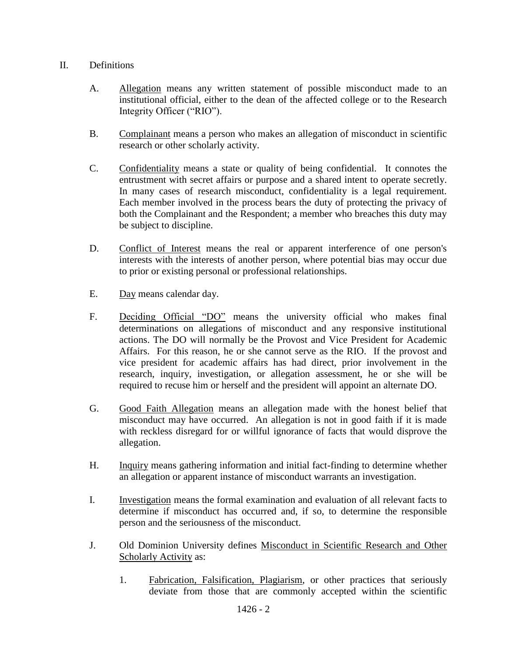### II. Definitions

- A. Allegation means any written statement of possible misconduct made to an institutional official, either to the dean of the affected college or to the Research Integrity Officer ("RIO").
- B. Complainant means a person who makes an allegation of misconduct in scientific research or other scholarly activity.
- C. Confidentiality means a state or quality of being confidential. It connotes the entrustment with secret affairs or purpose and a shared intent to operate secretly. In many cases of research misconduct, confidentiality is a legal requirement. Each member involved in the process bears the duty of protecting the privacy of both the Complainant and the Respondent; a member who breaches this duty may be subject to discipline.
- D. Conflict of Interest means the real or apparent interference of one person's interests with the interests of another person, where potential bias may occur due to prior or existing personal or professional relationships.
- E. Day means calendar day.
- F. Deciding Official "DO" means the university official who makes final determinations on allegations of misconduct and any responsive institutional actions. The DO will normally be the Provost and Vice President for Academic Affairs. For this reason, he or she cannot serve as the RIO. If the provost and vice president for academic affairs has had direct, prior involvement in the research, inquiry, investigation, or allegation assessment, he or she will be required to recuse him or herself and the president will appoint an alternate DO.
- G. Good Faith Allegation means an allegation made with the honest belief that misconduct may have occurred. An allegation is not in good faith if it is made with reckless disregard for or willful ignorance of facts that would disprove the allegation.
- H. Inquiry means gathering information and initial fact-finding to determine whether an allegation or apparent instance of misconduct warrants an investigation.
- I. Investigation means the formal examination and evaluation of all relevant facts to determine if misconduct has occurred and, if so, to determine the responsible person and the seriousness of the misconduct.
- J. Old Dominion University defines Misconduct in Scientific Research and Other Scholarly Activity as:
	- 1. Fabrication, Falsification, Plagiarism, or other practices that seriously deviate from those that are commonly accepted within the scientific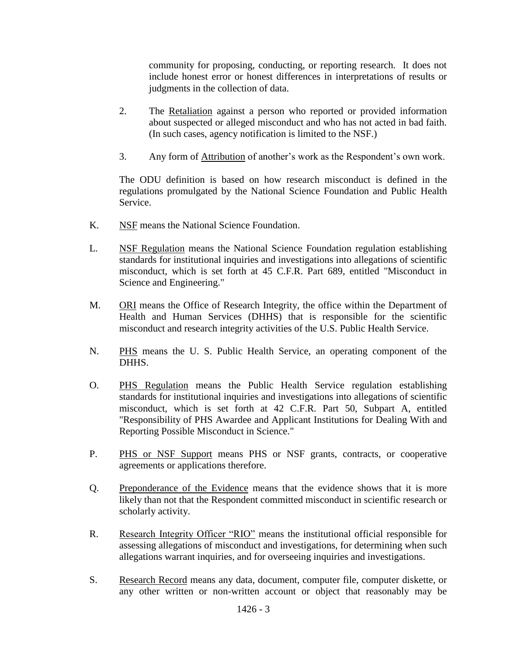community for proposing, conducting, or reporting research. It does not include honest error or honest differences in interpretations of results or judgments in the collection of data.

- 2. The Retaliation against a person who reported or provided information about suspected or alleged misconduct and who has not acted in bad faith. (In such cases, agency notification is limited to the NSF.)
- 3. Any form of Attribution of another's work as the Respondent's own work.

The ODU definition is based on how research misconduct is defined in the regulations promulgated by the National Science Foundation and Public Health Service.

- K. NSF means the National Science Foundation.
- L. NSF Regulation means the National Science Foundation regulation establishing standards for institutional inquiries and investigations into allegations of scientific misconduct, which is set forth at 45 C.F.R. Part 689, entitled "Misconduct in Science and Engineering."
- M. ORI means the Office of Research Integrity, the office within the Department of Health and Human Services (DHHS) that is responsible for the scientific misconduct and research integrity activities of the U.S. Public Health Service.
- N. PHS means the U. S. Public Health Service, an operating component of the DHHS.
- O. PHS Regulation means the Public Health Service regulation establishing standards for institutional inquiries and investigations into allegations of scientific misconduct, which is set forth at 42 C.F.R. Part 50, Subpart A, entitled "Responsibility of PHS Awardee and Applicant Institutions for Dealing With and Reporting Possible Misconduct in Science."
- P. PHS or NSF Support means PHS or NSF grants, contracts, or cooperative agreements or applications therefore.
- Q. Preponderance of the Evidence means that the evidence shows that it is more likely than not that the Respondent committed misconduct in scientific research or scholarly activity.
- R. Research Integrity Officer "RIO" means the institutional official responsible for assessing allegations of misconduct and investigations, for determining when such allegations warrant inquiries, and for overseeing inquiries and investigations.
- S. Research Record means any data, document, computer file, computer diskette, or any other written or non-written account or object that reasonably may be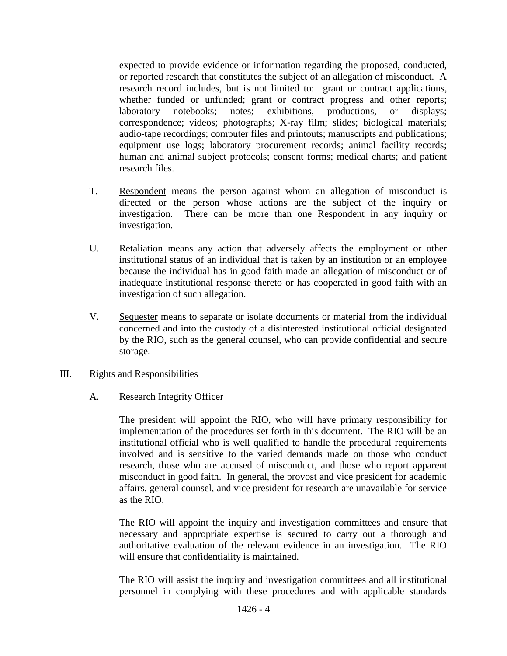expected to provide evidence or information regarding the proposed, conducted, or reported research that constitutes the subject of an allegation of misconduct. A research record includes, but is not limited to: grant or contract applications, whether funded or unfunded; grant or contract progress and other reports; laboratory notebooks; notes; exhibitions, productions, or displays; correspondence; videos; photographs; X-ray film; slides; biological materials; audio-tape recordings; computer files and printouts; manuscripts and publications; equipment use logs; laboratory procurement records; animal facility records; human and animal subject protocols; consent forms; medical charts; and patient research files.

- T. Respondent means the person against whom an allegation of misconduct is directed or the person whose actions are the subject of the inquiry or investigation. There can be more than one Respondent in any inquiry or investigation.
- U. Retaliation means any action that adversely affects the employment or other institutional status of an individual that is taken by an institution or an employee because the individual has in good faith made an allegation of misconduct or of inadequate institutional response thereto or has cooperated in good faith with an investigation of such allegation.
- V. Sequester means to separate or isolate documents or material from the individual concerned and into the custody of a disinterested institutional official designated by the RIO, such as the general counsel, who can provide confidential and secure storage.
- III. Rights and Responsibilities

## A. Research Integrity Officer

The president will appoint the RIO, who will have primary responsibility for implementation of the procedures set forth in this document. The RIO will be an institutional official who is well qualified to handle the procedural requirements involved and is sensitive to the varied demands made on those who conduct research, those who are accused of misconduct, and those who report apparent misconduct in good faith. In general, the provost and vice president for academic affairs, general counsel, and vice president for research are unavailable for service as the RIO.

The RIO will appoint the inquiry and investigation committees and ensure that necessary and appropriate expertise is secured to carry out a thorough and authoritative evaluation of the relevant evidence in an investigation. The RIO will ensure that confidentiality is maintained.

The RIO will assist the inquiry and investigation committees and all institutional personnel in complying with these procedures and with applicable standards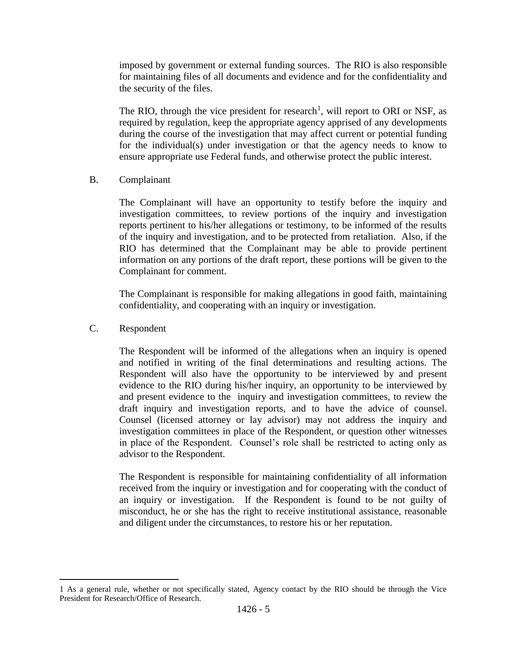imposed by government or external funding sources. The RIO is also responsible for maintaining files of all documents and evidence and for the confidentiality and the security of the files.

The RIO, through the vice president for research<sup>1</sup>, will report to ORI or NSF, as required by regulation, keep the appropriate agency apprised of any developments during the course of the investigation that may affect current or potential funding for the individual(s) under investigation or that the agency needs to know to ensure appropriate use Federal funds, and otherwise protect the public interest.

B. Complainant

The Complainant will have an opportunity to testify before the inquiry and investigation committees, to review portions of the inquiry and investigation reports pertinent to his/her allegations or testimony, to be informed of the results of the inquiry and investigation, and to be protected from retaliation. Also, if the RIO has determined that the Complainant may be able to provide pertinent information on any portions of the draft report, these portions will be given to the Complainant for comment.

The Complainant is responsible for making allegations in good faith, maintaining confidentiality, and cooperating with an inquiry or investigation.

C. Respondent

 $\overline{a}$ 

The Respondent will be informed of the allegations when an inquiry is opened and notified in writing of the final determinations and resulting actions. The Respondent will also have the opportunity to be interviewed by and present evidence to the RIO during his/her inquiry, an opportunity to be interviewed by and present evidence to the inquiry and investigation committees, to review the draft inquiry and investigation reports, and to have the advice of counsel. Counsel (licensed attorney or lay advisor) may not address the inquiry and investigation committees in place of the Respondent, or question other witnesses in place of the Respondent. Counsel's role shall be restricted to acting only as advisor to the Respondent.

The Respondent is responsible for maintaining confidentiality of all information received from the inquiry or investigation and for cooperating with the conduct of an inquiry or investigation. If the Respondent is found to be not guilty of misconduct, he or she has the right to receive institutional assistance, reasonable and diligent under the circumstances, to restore his or her reputation.

<sup>1</sup> As a general rule, whether or not specifically stated, Agency contact by the RIO should be through the Vice President for Research/Office of Research.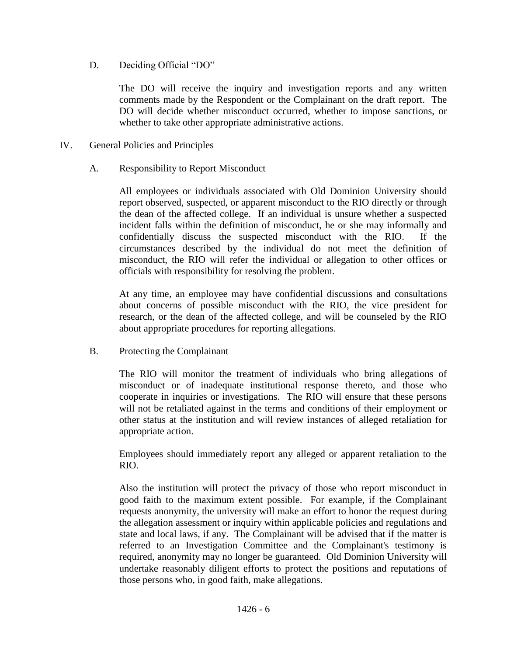D. Deciding Official "DO"

The DO will receive the inquiry and investigation reports and any written comments made by the Respondent or the Complainant on the draft report. The DO will decide whether misconduct occurred, whether to impose sanctions, or whether to take other appropriate administrative actions.

- IV. General Policies and Principles
	- A. Responsibility to Report Misconduct

All employees or individuals associated with Old Dominion University should report observed, suspected, or apparent misconduct to the RIO directly or through the dean of the affected college. If an individual is unsure whether a suspected incident falls within the definition of misconduct, he or she may informally and confidentially discuss the suspected misconduct with the RIO. If the circumstances described by the individual do not meet the definition of misconduct, the RIO will refer the individual or allegation to other offices or officials with responsibility for resolving the problem.

At any time, an employee may have confidential discussions and consultations about concerns of possible misconduct with the RIO, the vice president for research, or the dean of the affected college, and will be counseled by the RIO about appropriate procedures for reporting allegations.

B. Protecting the Complainant

The RIO will monitor the treatment of individuals who bring allegations of misconduct or of inadequate institutional response thereto, and those who cooperate in inquiries or investigations. The RIO will ensure that these persons will not be retaliated against in the terms and conditions of their employment or other status at the institution and will review instances of alleged retaliation for appropriate action.

Employees should immediately report any alleged or apparent retaliation to the RIO.

Also the institution will protect the privacy of those who report misconduct in good faith to the maximum extent possible. For example, if the Complainant requests anonymity, the university will make an effort to honor the request during the allegation assessment or inquiry within applicable policies and regulations and state and local laws, if any. The Complainant will be advised that if the matter is referred to an Investigation Committee and the Complainant's testimony is required, anonymity may no longer be guaranteed. Old Dominion University will undertake reasonably diligent efforts to protect the positions and reputations of those persons who, in good faith, make allegations.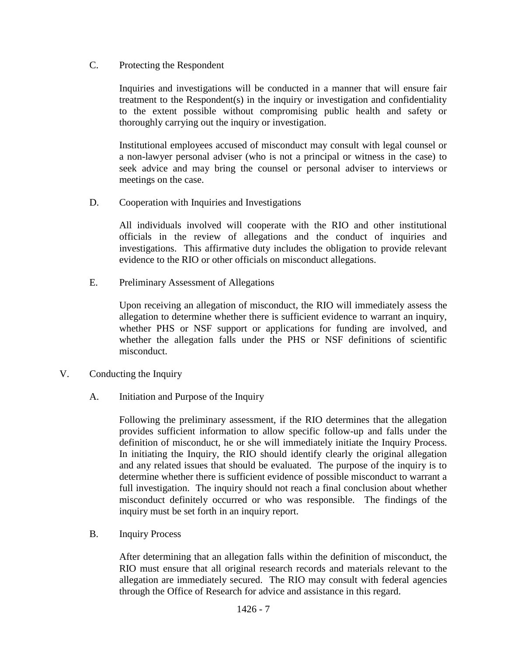C. Protecting the Respondent

Inquiries and investigations will be conducted in a manner that will ensure fair treatment to the Respondent(s) in the inquiry or investigation and confidentiality to the extent possible without compromising public health and safety or thoroughly carrying out the inquiry or investigation.

Institutional employees accused of misconduct may consult with legal counsel or a non-lawyer personal adviser (who is not a principal or witness in the case) to seek advice and may bring the counsel or personal adviser to interviews or meetings on the case.

D. Cooperation with Inquiries and Investigations

All individuals involved will cooperate with the RIO and other institutional officials in the review of allegations and the conduct of inquiries and investigations. This affirmative duty includes the obligation to provide relevant evidence to the RIO or other officials on misconduct allegations.

E. Preliminary Assessment of Allegations

Upon receiving an allegation of misconduct, the RIO will immediately assess the allegation to determine whether there is sufficient evidence to warrant an inquiry, whether PHS or NSF support or applications for funding are involved, and whether the allegation falls under the PHS or NSF definitions of scientific misconduct.

- V. Conducting the Inquiry
	- A. Initiation and Purpose of the Inquiry

Following the preliminary assessment, if the RIO determines that the allegation provides sufficient information to allow specific follow-up and falls under the definition of misconduct, he or she will immediately initiate the Inquiry Process. In initiating the Inquiry, the RIO should identify clearly the original allegation and any related issues that should be evaluated. The purpose of the inquiry is to determine whether there is sufficient evidence of possible misconduct to warrant a full investigation. The inquiry should not reach a final conclusion about whether misconduct definitely occurred or who was responsible. The findings of the inquiry must be set forth in an inquiry report.

B. Inquiry Process

After determining that an allegation falls within the definition of misconduct, the RIO must ensure that all original research records and materials relevant to the allegation are immediately secured. The RIO may consult with federal agencies through the Office of Research for advice and assistance in this regard.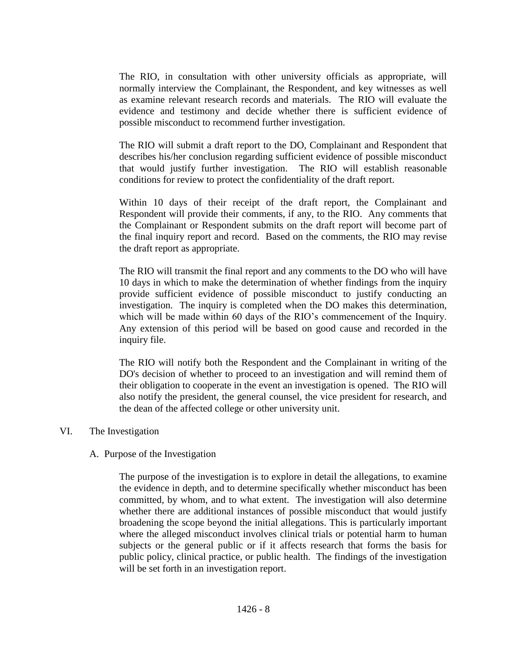The RIO, in consultation with other university officials as appropriate, will normally interview the Complainant, the Respondent, and key witnesses as well as examine relevant research records and materials. The RIO will evaluate the evidence and testimony and decide whether there is sufficient evidence of possible misconduct to recommend further investigation.

The RIO will submit a draft report to the DO, Complainant and Respondent that describes his/her conclusion regarding sufficient evidence of possible misconduct that would justify further investigation. The RIO will establish reasonable conditions for review to protect the confidentiality of the draft report.

Within 10 days of their receipt of the draft report, the Complainant and Respondent will provide their comments, if any, to the RIO. Any comments that the Complainant or Respondent submits on the draft report will become part of the final inquiry report and record. Based on the comments, the RIO may revise the draft report as appropriate.

The RIO will transmit the final report and any comments to the DO who will have 10 days in which to make the determination of whether findings from the inquiry provide sufficient evidence of possible misconduct to justify conducting an investigation. The inquiry is completed when the DO makes this determination, which will be made within 60 days of the RIO's commencement of the Inquiry. Any extension of this period will be based on good cause and recorded in the inquiry file.

The RIO will notify both the Respondent and the Complainant in writing of the DO's decision of whether to proceed to an investigation and will remind them of their obligation to cooperate in the event an investigation is opened. The RIO will also notify the president, the general counsel, the vice president for research, and the dean of the affected college or other university unit.

#### VI. The Investigation

#### A. Purpose of the Investigation

The purpose of the investigation is to explore in detail the allegations, to examine the evidence in depth, and to determine specifically whether misconduct has been committed, by whom, and to what extent. The investigation will also determine whether there are additional instances of possible misconduct that would justify broadening the scope beyond the initial allegations. This is particularly important where the alleged misconduct involves clinical trials or potential harm to human subjects or the general public or if it affects research that forms the basis for public policy, clinical practice, or public health. The findings of the investigation will be set forth in an investigation report.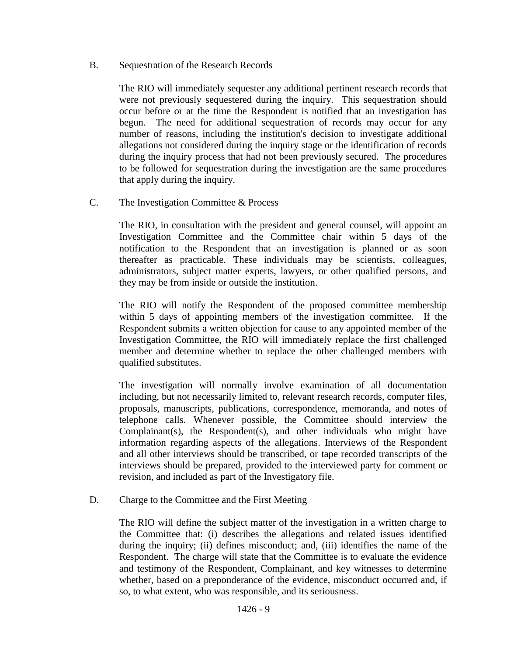B. Sequestration of the Research Records

The RIO will immediately sequester any additional pertinent research records that were not previously sequestered during the inquiry. This sequestration should occur before or at the time the Respondent is notified that an investigation has begun. The need for additional sequestration of records may occur for any number of reasons, including the institution's decision to investigate additional allegations not considered during the inquiry stage or the identification of records during the inquiry process that had not been previously secured. The procedures to be followed for sequestration during the investigation are the same procedures that apply during the inquiry.

C. The Investigation Committee & Process

The RIO, in consultation with the president and general counsel, will appoint an Investigation Committee and the Committee chair within 5 days of the notification to the Respondent that an investigation is planned or as soon thereafter as practicable. These individuals may be scientists, colleagues, administrators, subject matter experts, lawyers, or other qualified persons, and they may be from inside or outside the institution.

The RIO will notify the Respondent of the proposed committee membership within 5 days of appointing members of the investigation committee. If the Respondent submits a written objection for cause to any appointed member of the Investigation Committee, the RIO will immediately replace the first challenged member and determine whether to replace the other challenged members with qualified substitutes.

The investigation will normally involve examination of all documentation including, but not necessarily limited to, relevant research records, computer files, proposals, manuscripts, publications, correspondence, memoranda, and notes of telephone calls. Whenever possible, the Committee should interview the Complainant(s), the Respondent(s), and other individuals who might have information regarding aspects of the allegations. Interviews of the Respondent and all other interviews should be transcribed, or tape recorded transcripts of the interviews should be prepared, provided to the interviewed party for comment or revision, and included as part of the Investigatory file.

D. Charge to the Committee and the First Meeting

The RIO will define the subject matter of the investigation in a written charge to the Committee that: (i) describes the allegations and related issues identified during the inquiry; (ii) defines misconduct; and, (iii) identifies the name of the Respondent. The charge will state that the Committee is to evaluate the evidence and testimony of the Respondent, Complainant, and key witnesses to determine whether, based on a preponderance of the evidence, misconduct occurred and, if so, to what extent, who was responsible, and its seriousness.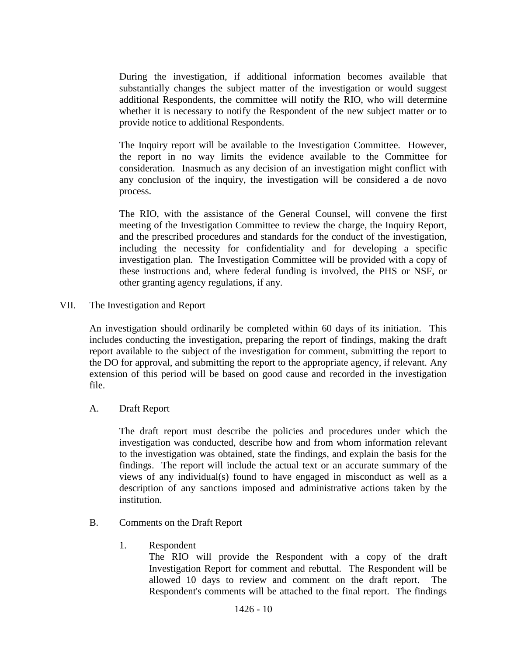During the investigation, if additional information becomes available that substantially changes the subject matter of the investigation or would suggest additional Respondents, the committee will notify the RIO, who will determine whether it is necessary to notify the Respondent of the new subject matter or to provide notice to additional Respondents.

The Inquiry report will be available to the Investigation Committee. However, the report in no way limits the evidence available to the Committee for consideration. Inasmuch as any decision of an investigation might conflict with any conclusion of the inquiry, the investigation will be considered a de novo process.

The RIO, with the assistance of the General Counsel, will convene the first meeting of the Investigation Committee to review the charge, the Inquiry Report, and the prescribed procedures and standards for the conduct of the investigation, including the necessity for confidentiality and for developing a specific investigation plan. The Investigation Committee will be provided with a copy of these instructions and, where federal funding is involved, the PHS or NSF, or other granting agency regulations, if any.

VII. The Investigation and Report

An investigation should ordinarily be completed within 60 days of its initiation. This includes conducting the investigation, preparing the report of findings, making the draft report available to the subject of the investigation for comment, submitting the report to the DO for approval, and submitting the report to the appropriate agency, if relevant. Any extension of this period will be based on good cause and recorded in the investigation file.

A. Draft Report

The draft report must describe the policies and procedures under which the investigation was conducted, describe how and from whom information relevant to the investigation was obtained, state the findings, and explain the basis for the findings. The report will include the actual text or an accurate summary of the views of any individual(s) found to have engaged in misconduct as well as a description of any sanctions imposed and administrative actions taken by the institution.

- B. Comments on the Draft Report
	- 1. Respondent

The RIO will provide the Respondent with a copy of the draft Investigation Report for comment and rebuttal. The Respondent will be allowed 10 days to review and comment on the draft report. The Respondent's comments will be attached to the final report. The findings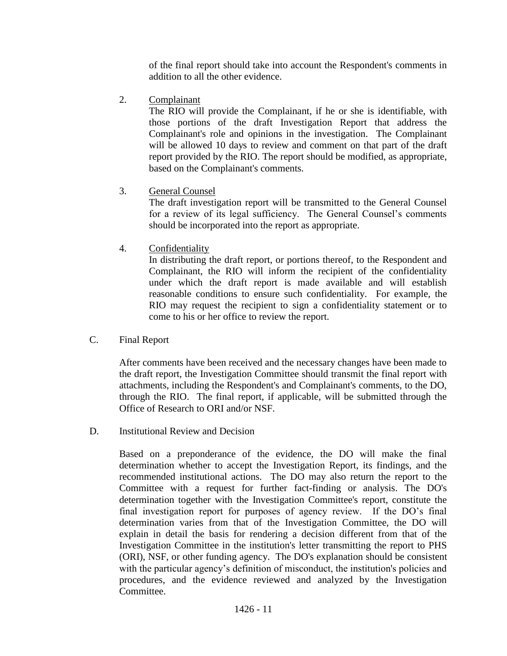of the final report should take into account the Respondent's comments in addition to all the other evidence.

2. Complainant

The RIO will provide the Complainant, if he or she is identifiable, with those portions of the draft Investigation Report that address the Complainant's role and opinions in the investigation. The Complainant will be allowed 10 days to review and comment on that part of the draft report provided by the RIO. The report should be modified, as appropriate, based on the Complainant's comments.

3. General Counsel

The draft investigation report will be transmitted to the General Counsel for a review of its legal sufficiency. The General Counsel's comments should be incorporated into the report as appropriate.

4. Confidentiality

In distributing the draft report, or portions thereof, to the Respondent and Complainant, the RIO will inform the recipient of the confidentiality under which the draft report is made available and will establish reasonable conditions to ensure such confidentiality. For example, the RIO may request the recipient to sign a confidentiality statement or to come to his or her office to review the report.

C. Final Report

After comments have been received and the necessary changes have been made to the draft report, the Investigation Committee should transmit the final report with attachments, including the Respondent's and Complainant's comments, to the DO, through the RIO. The final report, if applicable, will be submitted through the Office of Research to ORI and/or NSF.

D. Institutional Review and Decision

Based on a preponderance of the evidence, the DO will make the final determination whether to accept the Investigation Report, its findings, and the recommended institutional actions. The DO may also return the report to the Committee with a request for further fact-finding or analysis. The DO's determination together with the Investigation Committee's report, constitute the final investigation report for purposes of agency review. If the DO's final determination varies from that of the Investigation Committee, the DO will explain in detail the basis for rendering a decision different from that of the Investigation Committee in the institution's letter transmitting the report to PHS (ORI), NSF, or other funding agency. The DO's explanation should be consistent with the particular agency's definition of misconduct, the institution's policies and procedures, and the evidence reviewed and analyzed by the Investigation Committee.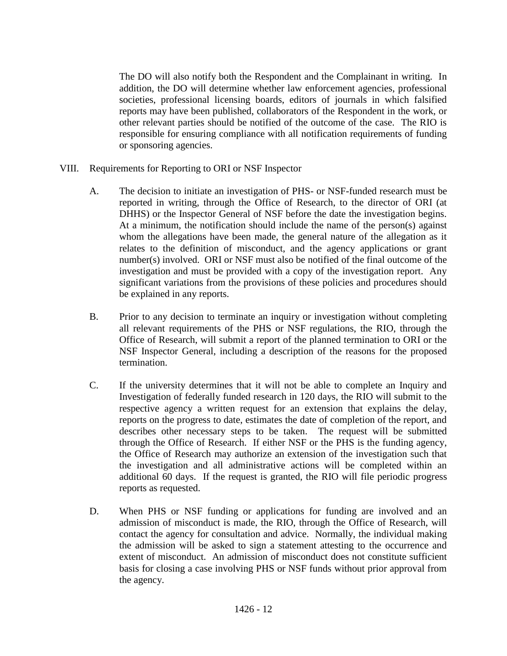The DO will also notify both the Respondent and the Complainant in writing. In addition, the DO will determine whether law enforcement agencies, professional societies, professional licensing boards, editors of journals in which falsified reports may have been published, collaborators of the Respondent in the work, or other relevant parties should be notified of the outcome of the case. The RIO is responsible for ensuring compliance with all notification requirements of funding or sponsoring agencies.

- VIII. Requirements for Reporting to ORI or NSF Inspector
	- A. The decision to initiate an investigation of PHS- or NSF-funded research must be reported in writing, through the Office of Research, to the director of ORI (at DHHS) or the Inspector General of NSF before the date the investigation begins. At a minimum, the notification should include the name of the person(s) against whom the allegations have been made, the general nature of the allegation as it relates to the definition of misconduct, and the agency applications or grant number(s) involved. ORI or NSF must also be notified of the final outcome of the investigation and must be provided with a copy of the investigation report. Any significant variations from the provisions of these policies and procedures should be explained in any reports.
	- B. Prior to any decision to terminate an inquiry or investigation without completing all relevant requirements of the PHS or NSF regulations, the RIO, through the Office of Research, will submit a report of the planned termination to ORI or the NSF Inspector General, including a description of the reasons for the proposed termination.
	- C. If the university determines that it will not be able to complete an Inquiry and Investigation of federally funded research in 120 days, the RIO will submit to the respective agency a written request for an extension that explains the delay, reports on the progress to date, estimates the date of completion of the report, and describes other necessary steps to be taken. The request will be submitted through the Office of Research. If either NSF or the PHS is the funding agency, the Office of Research may authorize an extension of the investigation such that the investigation and all administrative actions will be completed within an additional 60 days. If the request is granted, the RIO will file periodic progress reports as requested.
	- D. When PHS or NSF funding or applications for funding are involved and an admission of misconduct is made, the RIO, through the Office of Research, will contact the agency for consultation and advice. Normally, the individual making the admission will be asked to sign a statement attesting to the occurrence and extent of misconduct. An admission of misconduct does not constitute sufficient basis for closing a case involving PHS or NSF funds without prior approval from the agency.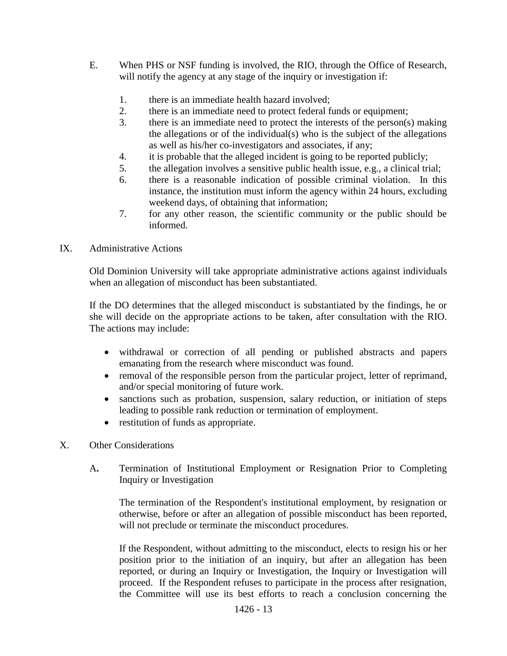- E. When PHS or NSF funding is involved, the RIO, through the Office of Research, will notify the agency at any stage of the inquiry or investigation if:
	- 1. there is an immediate health hazard involved;
	- 2. there is an immediate need to protect federal funds or equipment;
	- 3. there is an immediate need to protect the interests of the person(s) making the allegations or of the individual(s) who is the subject of the allegations as well as his/her co-investigators and associates, if any;
	- 4. it is probable that the alleged incident is going to be reported publicly;
	- 5. the allegation involves a sensitive public health issue, e.g., a clinical trial;
	- 6. there is a reasonable indication of possible criminal violation. In this instance, the institution must inform the agency within 24 hours, excluding weekend days, of obtaining that information;
	- 7. for any other reason, the scientific community or the public should be informed.

#### IX. Administrative Actions

Old Dominion University will take appropriate administrative actions against individuals when an allegation of misconduct has been substantiated.

If the DO determines that the alleged misconduct is substantiated by the findings, he or she will decide on the appropriate actions to be taken, after consultation with the RIO. The actions may include:

- withdrawal or correction of all pending or published abstracts and papers emanating from the research where misconduct was found.
- removal of the responsible person from the particular project, letter of reprimand, and/or special monitoring of future work.
- sanctions such as probation, suspension, salary reduction, or initiation of steps leading to possible rank reduction or termination of employment.
- restitution of funds as appropriate.
- X. Other Considerations
	- A**.** Termination of Institutional Employment or Resignation Prior to Completing Inquiry or Investigation

The termination of the Respondent's institutional employment, by resignation or otherwise, before or after an allegation of possible misconduct has been reported, will not preclude or terminate the misconduct procedures.

If the Respondent, without admitting to the misconduct, elects to resign his or her position prior to the initiation of an inquiry, but after an allegation has been reported, or during an Inquiry or Investigation, the Inquiry or Investigation will proceed. If the Respondent refuses to participate in the process after resignation, the Committee will use its best efforts to reach a conclusion concerning the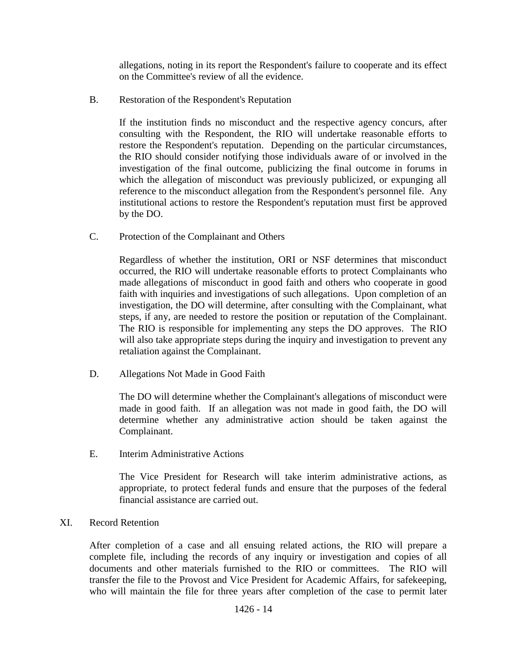allegations, noting in its report the Respondent's failure to cooperate and its effect on the Committee's review of all the evidence.

B. Restoration of the Respondent's Reputation

If the institution finds no misconduct and the respective agency concurs, after consulting with the Respondent, the RIO will undertake reasonable efforts to restore the Respondent's reputation. Depending on the particular circumstances, the RIO should consider notifying those individuals aware of or involved in the investigation of the final outcome, publicizing the final outcome in forums in which the allegation of misconduct was previously publicized, or expunging all reference to the misconduct allegation from the Respondent's personnel file. Any institutional actions to restore the Respondent's reputation must first be approved by the DO.

C. Protection of the Complainant and Others

Regardless of whether the institution, ORI or NSF determines that misconduct occurred, the RIO will undertake reasonable efforts to protect Complainants who made allegations of misconduct in good faith and others who cooperate in good faith with inquiries and investigations of such allegations. Upon completion of an investigation, the DO will determine, after consulting with the Complainant, what steps, if any, are needed to restore the position or reputation of the Complainant. The RIO is responsible for implementing any steps the DO approves. The RIO will also take appropriate steps during the inquiry and investigation to prevent any retaliation against the Complainant.

D. Allegations Not Made in Good Faith

The DO will determine whether the Complainant's allegations of misconduct were made in good faith. If an allegation was not made in good faith, the DO will determine whether any administrative action should be taken against the Complainant.

E. Interim Administrative Actions

The Vice President for Research will take interim administrative actions, as appropriate, to protect federal funds and ensure that the purposes of the federal financial assistance are carried out.

#### XI. Record Retention

After completion of a case and all ensuing related actions, the RIO will prepare a complete file, including the records of any inquiry or investigation and copies of all documents and other materials furnished to the RIO or committees. The RIO will transfer the file to the Provost and Vice President for Academic Affairs, for safekeeping, who will maintain the file for three years after completion of the case to permit later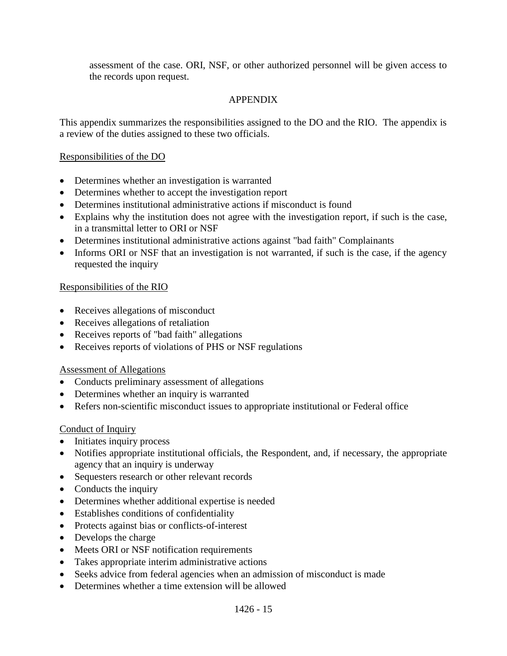assessment of the case. ORI, NSF, or other authorized personnel will be given access to the records upon request.

## APPENDIX

This appendix summarizes the responsibilities assigned to the DO and the RIO. The appendix is a review of the duties assigned to these two officials.

## Responsibilities of the DO

- Determines whether an investigation is warranted
- Determines whether to accept the investigation report
- Determines institutional administrative actions if misconduct is found
- Explains why the institution does not agree with the investigation report, if such is the case, in a transmittal letter to ORI or NSF
- Determines institutional administrative actions against "bad faith" Complainants
- Informs ORI or NSF that an investigation is not warranted, if such is the case, if the agency requested the inquiry

## Responsibilities of the RIO

- Receives allegations of misconduct
- Receives allegations of retaliation
- Receives reports of "bad faith" allegations
- Receives reports of violations of PHS or NSF regulations

## Assessment of Allegations

- Conducts preliminary assessment of allegations
- Determines whether an inquiry is warranted
- Refers non-scientific misconduct issues to appropriate institutional or Federal office

## Conduct of Inquiry

- Initiates inquiry process
- Notifies appropriate institutional officials, the Respondent, and, if necessary, the appropriate agency that an inquiry is underway
- Sequesters research or other relevant records
- Conducts the inquiry
- Determines whether additional expertise is needed
- Establishes conditions of confidentiality
- Protects against bias or conflicts-of-interest
- Develops the charge
- Meets ORI or NSF notification requirements
- Takes appropriate interim administrative actions
- Seeks advice from federal agencies when an admission of misconduct is made
- Determines whether a time extension will be allowed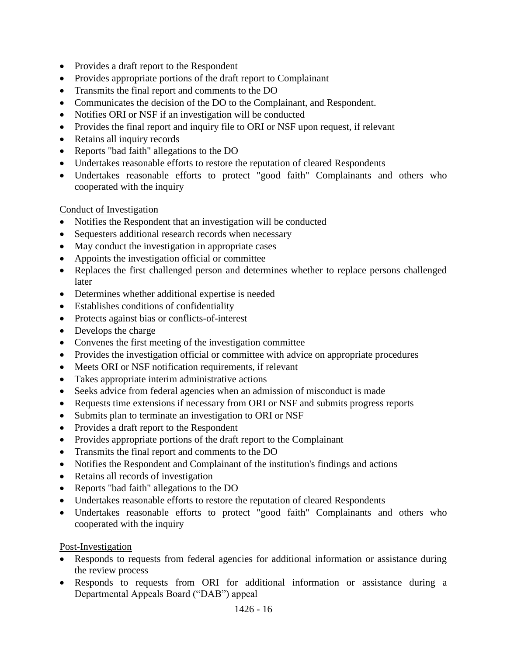- Provides a draft report to the Respondent
- Provides appropriate portions of the draft report to Complainant
- Transmits the final report and comments to the DO
- Communicates the decision of the DO to the Complainant, and Respondent.
- Notifies ORI or NSF if an investigation will be conducted
- Provides the final report and inquiry file to ORI or NSF upon request, if relevant
- Retains all inquiry records
- Reports "bad faith" allegations to the DO
- Undertakes reasonable efforts to restore the reputation of cleared Respondents
- Undertakes reasonable efforts to protect "good faith" Complainants and others who cooperated with the inquiry

## Conduct of Investigation

- Notifies the Respondent that an investigation will be conducted
- Sequesters additional research records when necessary
- May conduct the investigation in appropriate cases
- Appoints the investigation official or committee
- Replaces the first challenged person and determines whether to replace persons challenged later
- Determines whether additional expertise is needed
- Establishes conditions of confidentiality
- Protects against bias or conflicts-of-interest
- Develops the charge
- Convenes the first meeting of the investigation committee
- Provides the investigation official or committee with advice on appropriate procedures
- Meets ORI or NSF notification requirements, if relevant
- Takes appropriate interim administrative actions
- Seeks advice from federal agencies when an admission of misconduct is made
- Requests time extensions if necessary from ORI or NSF and submits progress reports
- Submits plan to terminate an investigation to ORI or NSF
- Provides a draft report to the Respondent
- Provides appropriate portions of the draft report to the Complainant
- Transmits the final report and comments to the DO
- Notifies the Respondent and Complainant of the institution's findings and actions
- Retains all records of investigation
- Reports "bad faith" allegations to the DO
- Undertakes reasonable efforts to restore the reputation of cleared Respondents
- Undertakes reasonable efforts to protect "good faith" Complainants and others who cooperated with the inquiry

## Post-Investigation

- Responds to requests from federal agencies for additional information or assistance during the review process
- Responds to requests from ORI for additional information or assistance during a Departmental Appeals Board ("DAB") appeal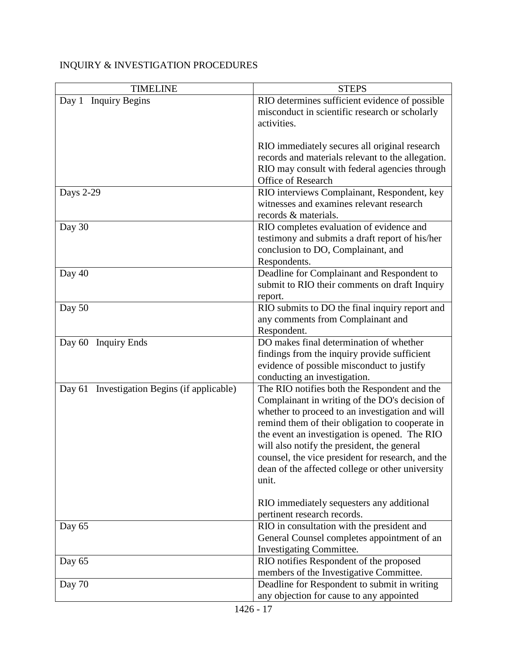## INQUIRY & INVESTIGATION PROCEDURES

| <b>TIMELINE</b>                             | <b>STEPS</b>                                              |
|---------------------------------------------|-----------------------------------------------------------|
| Day 1<br><b>Inquiry Begins</b>              | RIO determines sufficient evidence of possible            |
|                                             | misconduct in scientific research or scholarly            |
|                                             | activities.                                               |
|                                             |                                                           |
|                                             | RIO immediately secures all original research             |
|                                             | records and materials relevant to the allegation.         |
|                                             | RIO may consult with federal agencies through             |
|                                             | <b>Office of Research</b>                                 |
| <b>Days 2-29</b>                            | RIO interviews Complainant, Respondent, key               |
|                                             | witnesses and examines relevant research                  |
|                                             | records & materials.                                      |
| Day 30                                      | RIO completes evaluation of evidence and                  |
|                                             | testimony and submits a draft report of his/her           |
|                                             | conclusion to DO, Complainant, and                        |
|                                             | Respondents.                                              |
| Day 40                                      | Deadline for Complainant and Respondent to                |
|                                             | submit to RIO their comments on draft Inquiry             |
| Day 50                                      | report.<br>RIO submits to DO the final inquiry report and |
|                                             | any comments from Complainant and                         |
|                                             | Respondent.                                               |
| Day $60$<br><b>Inquiry Ends</b>             | DO makes final determination of whether                   |
|                                             | findings from the inquiry provide sufficient              |
|                                             | evidence of possible misconduct to justify                |
|                                             | conducting an investigation.                              |
| Day 61 Investigation Begins (if applicable) | The RIO notifies both the Respondent and the              |
|                                             | Complainant in writing of the DO's decision of            |
|                                             | whether to proceed to an investigation and will           |
|                                             | remind them of their obligation to cooperate in           |
|                                             | the event an investigation is opened. The RIO             |
|                                             | will also notify the president, the general               |
|                                             | counsel, the vice president for research, and the         |
|                                             | dean of the affected college or other university          |
|                                             | unit.                                                     |
|                                             |                                                           |
|                                             | RIO immediately sequesters any additional                 |
|                                             | pertinent research records.                               |
| Day 65                                      | RIO in consultation with the president and                |
|                                             | General Counsel completes appointment of an               |
|                                             | Investigating Committee.                                  |
| Day 65                                      | RIO notifies Respondent of the proposed                   |
|                                             | members of the Investigative Committee.                   |
| Day 70                                      | Deadline for Respondent to submit in writing              |
|                                             | any objection for cause to any appointed                  |